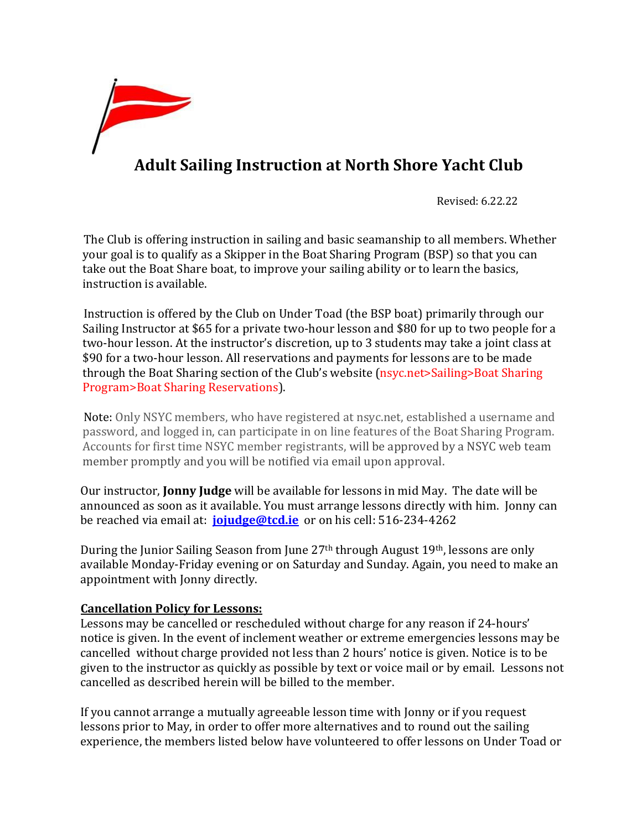

## **Adult Sailing Instruction at North Shore Yacht Club**

Revised: 6.22.22

The Club is offering instruction in sailing and basic seamanship to all members. Whether your goal is to qualify as a Skipper in the Boat Sharing Program (BSP) so that you can take out the Boat Share boat, to improve your sailing ability or to learn the basics, instruction is available.

Instruction is offered by the Club on Under Toad (the BSP boat) primarily through our Sailing Instructor at \$65 for a private two-hour lesson and \$80 for up to two people for a two-hour lesson. At the instructor's discretion, up to 3 students may take a joint class at \$90 for a two-hour lesson. All reservations and payments for lessons are to be made through the Boat Sharing section of the Club's website (nsyc.net>Sailing>Boat Sharing Program>Boat Sharing Reservations).

Note: Only NSYC members, who have registered at nsyc.net, established a username and password, and logged in, can participate in on line features of the Boat Sharing Program. Accounts for first time NSYC member registrants, will be approved by a NSYC web team member promptly and you will be notified via email upon approval.

Our instructor, **Jonny Judge** will be available for lessons in mid May. The date will be announced as soon as it available. You must arrange lessons directly with him. Jonny can be reached via email at: **[jojudge@tcd.ie](mailto:jojudge@tcd.ie)** or on his cell: 516-234-4262

During the Junior Sailing Season from June 27th through August 19th, lessons are only available Monday-Friday evening or on Saturday and Sunday. Again, you need to make an appointment with Jonny directly.

## **Cancellation Policy for Lessons:**

Lessons may be cancelled or rescheduled without charge for any reason if 24-hours' notice is given. In the event of inclement weather or extreme emergencies lessons may be cancelled without charge provided not less than 2 hours' notice is given. Notice is to be given to the instructor as quickly as possible by text or voice mail or by email. Lessons not cancelled as described herein will be billed to the member.

If you cannot arrange a mutually agreeable lesson time with Jonny or if you request lessons prior to May, in order to offer more alternatives and to round out the sailing experience, the members listed below have volunteered to offer lessons on Under Toad or